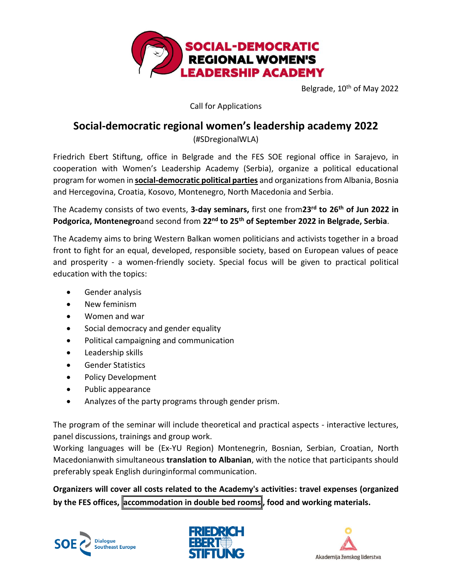

Belgrade, 10<sup>th</sup> of May 2022

Call for Applications

# **Social-democratic regional women's leadership academy 2022**

(#SDregionalWLA)

Friedrich Ebert Stiftung, office in Belgrade and the FES SOE regional office in Sarajevo, in cooperation with Women's Leadership Academy (Serbia), organize a political educational program for women in **social-democratic political parties** and organizations from Albania, Bosnia and Hercegovina, Croatia, Kosovo, Montenegro, North Macedonia and Serbia.

The Academy consists of two events, **3-day seminars,** first one from**23rd to 26th of Jun 2022 in Podgorica, Montenegro**and second from 22<sup>nd</sup> to 25<sup>th</sup> of September 2022 in Belgrade, Serbia.

The Academy aims to bring Western Balkan women politicians and activists together in a broad front to fight for an equal, developed, responsible society, based on European values of peace and prosperity - a women-friendly society. Special focus will be given to practical political education with the topics:

- Gender analysis
- New feminism
- Women and war
- Social democracy and gender equality
- Political campaigning and communication
- Leadership skills
- Gender Statistics
- Policy Development
- Public appearance
- Analyzes of the party programs through gender prism.

The program of the seminar will include theoretical and practical aspects - interactive lectures, panel discussions, trainings and group work.

Working languages will be (Ex-YU Region) Montenegrin, Bosnian, Serbian, Croatian, North Macedonianwith simultaneous **translation to Albanian**, with the notice that participants should preferably speak English duringinformal communication.

**Organizers will cover all costs related to the Academy's activities: travel expenses (organized by the FES offices, accommodation in double bed rooms , food and working materials.**